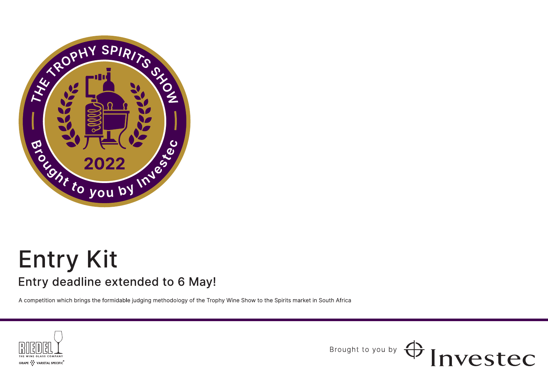

# **Entry Kit** Entry deadline extended to 6 May!

A competition which brings the formidable judging methodology of the Trophy Wine Show to the Spirits market in South Africa



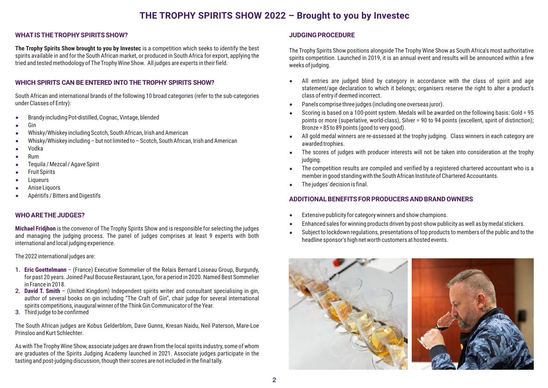## **THE TROPHY SPIRITS SHOW 2022 – Brought to you by Investec**

## **WHATISTHE ROPHY SPIRITS SHOW? T**

**The Trophy Spirits Show brought to you by Investec** is <sup>a</sup> competition which seeks to identify the best spirits available in and for the South African market, or produced in South Africa for export, applying the tried and tested methodology of The Trophy Wine Show. All judges are experts in their field.

## **WHICH SPIRITS CAN BE ENTERED INTO THE TROPHY SPIRITS ? SHOW**

South African and international brands of the following 10 broad categories (refer to the sub-categories under Classes of Entry):

- -Brandy including Pot-distilled, Cognac, Vintage, blended
- -Gin
- -Whisky/Whiskey including Scotch, South African, Irish and American
- -Whisky/Whiskey including – but not limited to – Scotch, South African, Irish and American
- -Vodka
- -Rum
- -Tequila / Mezcal / Agave Spirit
- -Fruit Spirits
- -Liqueurs
- -Anise Liquors
- -Apéritifs / Bitters and Digestifs

## **WHO ARETHE JUDGES?**

**Michael Fridihon** is the convenor of The Trophy Spirits Show and is responsible for selecting the judges and managing the judging process. The panel of judges comprises at least 9 experts with both international and local judging experience.

The 2022 international judges are:

- 1. **Eric Goettelmann** (France) Executive Sommelier of the Relais Bernard Loiseau Group, Burgundy, for past 20 years. Joined Paul Bocuse Restaurant, Lyon, for <sup>a</sup> period in 2020. Named Best Sommelier in France in 2018.
- 2. **David T. Smith** (United Kingdom) Independent spirits writer and consultant specialising in gin, author of several books on gin including "The Craft of Gin", chair judge for several international spirits competitions, inaugural winner of the Think Gin Communicator of the Year.
- 3. Third judge to be confirmed

The South African judges are Kobus Gelderblom, Dave Gunns, Kresan Naidu, Neil Paterson, Mare-Loe Prinsloo and Kurt Schlechter.

As with The Trophy Wine Show, associate judges are drawn from the local spirits industry, some of whom are graduates of the Spirits Judging Academy launched in 2021. Associate judges participate in the tasting and post-judging discussion, though their scores are not included in the final tally.

## **JUDGING PROCEDURE**

The Trophy Spirits Show positions alongside The Trophy Wine Show as South Africa's most authoritative spirits competition. Launched in 2019, it is an annual event and results will be announced within <sup>a</sup> few weeks of judging.

- -All entries are judged blind by category in accordance with the class of spirit and age statement/age declaration to which it belongs; organisers reserve the right to alter <sup>a</sup> product's class of entry if deemed incorrect.
- -Panels comprise three judges (including one overseas juror).
- - Scoring is based on <sup>a</sup> 100-point system. Medals will be awarded on the following basis: Gold <sup>=</sup> 95 points or more (superlative, world-class), Silver <sup>=</sup> 90 to <sup>94</sup> points (excellent, spirit of distinction); Bronze <sup>=</sup> 85 to 89 points (good to very good).
- $\bullet$ All gold medal winners are re-assessed at the trophy judging. Class winners in each category are awarded trophies.
- - The scores of judges with producer interests will not be taken into consideration at the trophy judging.
- $\bullet$  The competition results are compiled and verified by <sup>a</sup> registered chartered accountant who is <sup>a</sup> member in good standing with the South African Institute of Chartered Accountants.
- -The judges' decision is final.

## **ADDITIONAL BENEFITS FOR PRODUCERS AND BRAND OWNERS**

- -Extensive publicity for category winners and show champions.
- -Enhanced sales for winning products driven by post-show publicity as well as by medal stickers.
- - Subject to lockdown regulations, presentations of top products to members of the public and to the headline sponsor's high net worth customers at hosted events.

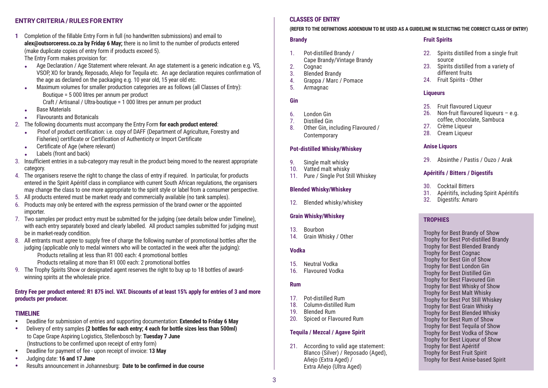## **ENTRY CRITERIA / RULES FOR ENTRY**

**1** Completion of the fillable Entry Form in full (no handwritten submissions) and email to **alex@outsorceress.co.za by ; Friday 6 May** there is no limit to the number of products entered (make duplicate copies of entry form if products exceed 5).

The Entry Form makes provision for:

- - Age Declaration / Age Statement where relevant. An age statement is <sup>a</sup> generic indication e.g. VS, VSOP, XO for brandy, Reposado, Añejo for Tequila etc. An age declaration requires confirmation of the age as declared on the packaging e.g. 10 year old, 15 year old etc.
- - Maximum volumes for smaller production categories are as follows (all Classes of Entry): Boutique <sup>=</sup> 5 000 litres per annum per product Craft / Artisanal / Ultra-boutique <sup>=</sup> 1 000 litres per annum per product
- -Base Materials
- -Flavourants and Botanicals
- 2. The following documents must accompany the Entry Form **for each product entered**:
	- - Proof of product certification: i.e. copy of DAFF (Department of Agriculture, Forestry and Fisheries) certificate or Certification of Authenticity or Import Certificate
	- $\bullet$ Certificate of Age (where relevant)
	- -Labels (front and back)
- 3. Insufficient entries in <sup>a</sup> sub-category may result in the product being moved to the nearest appropriate category.
- 4. The organisers reserve the right to change the class of entry if required. In particular, for products entered in the Spirit Apéritif class in compliance with current South African regulations, the organisers may change the class to one more appropriate to the spirit style or label from <sup>a</sup> consumer perspective.
- 5. All products entered must be market ready and commercially available (no tank samples).
- 6. Products may only be entered with the express permission of the brand owner or the appointed importer.
- 7. Two samples per product entry must be submitted for the judging (see details below under Timeline), with each entry separately boxed and clearly labelled. All product samples submitted for judging must be in market-ready condition.
- 8. All entrants must agree to supply free of charge the following number of promotional bottles after the judging (applicable only to medal winners who will be contacted in the week after the judging): Products retailing at less than R1 000 each: 4 promotional bottles Products retailing at more than R1 000 each: 2 promotional bottles
- 9. The Trophy Spirits Show or designated agent reserves the right to buy up to 18 bottles of awardwinning spirits at the wholesale price.

## Entry Fee per product entered: R1 875 incl. VAT. Discounts of at least 15% apply for entries of 3 and more **products per producer.**

## **TIMELINE**

- -Deadline for submission of entries and supporting documentation: **Extended to 6 May Friday**
- -Delivery of entry samples (2 bottles for each entry: 4 each for bottle sizes less than 500ml) to Cape Grape Aspiring Logistics, Stellenbosch by: **Tuesday 7 June** (Instructions to be confirmed upon receipt of entry form)
- -Deadline for payment of fee - upon receipt of invoice: **13 May**
- -Judging date: **16 and 17 June**
- -Results announcement in Johannesburg: **Date to be confirmed in due course**

## **CLASSES OF ENTRY**

#### (REFER TO THE DEFINITIONS ADDENDUM TO BE USED AS A GUIDELINE IN SELECTING THE CORRECT CLASS OF ENTRY)

#### **Brandy**

- 1. Pot-distilled Brandy / Cape Brandy/Vintage Brandy
- 2.Cognac
- 3.Blended Brandy
- 4.Grappa / Marc / Pomace
- 5.Armagnac

## **Gin**

- 6.London Gin
- 7.Distilled Gin
- Other Gin, including Flavoured / 8.Contemporary

## **Pot-distilled Whisky/Whiskey**

- 9.Single malt whisky
- 10. Vatted malt whisky
- 11. Pure / Single Pot Still Whiskey

## **Blended Whisky/Whiskey**

12. Blended whisky/whiskey

## **Grain Whisky/Whiskey**

- 13. Bourbon
- 14. Grain Whisky / Other

## **Vodka**

- 15. Neutral Vodka
- 16. Flavoured Vodka

## **Rum**

- 17. Pot-distilled Rum
- 18. Column-distilled Rum
- 19.Blended Rum
- 20. Spiced or Flavoured Rum

## **Tequila / Mezcal / Agave Spirit**

21. According to valid age statement: Blanco (Silver) / Reposado (Aged), Añejo (Extra Aged) / Extra Añejo (Ultra Aged)

## **Fruit Spirits**

- 22. Spirits distilled from a single fruit source
- 23. Spirits distilled from a variety of different fruits
- 24. Fruit Spirits Other

## **Liqueurs**

- 25. Fruit flavoured Liqueur
- 26. Non-fruit flavoured liqueurs e.g. coffee, chocolate, Sambuca
- 27. Crème Liqueur
- 28. Cream Liqueur

## **Anise Liquors**

29. Absinthe / Pastis / Ouzo / Arak

## **Apéritifs / Bitters / Digestifs**

- 30.Cocktail Bitters
- 31. Apéritifs, including Spirit Apéritifs
- 32. Digestifs: Amaro

## **TROPHIES**

Trophy for Best Brandy of Show Trophy for Best Pot-distilled Brandy Trophy for Best Blended Brandy Trophy for Best Cognac Trophy for Best Gin of Show Trophy for Best London Gin Trophy for Best Distilled Gin Trophy for Best Flavoured Gin Trophy for Best Whisky of Show Trophy for Best Malt Whisky Trophy for Best Pot Still Whiskey Trophy for Best Grain Whisky Trophy for Best Blended Whisky Trophy for Best Rum of Show Trophy for Best Tequila of Show Trophy for Best Vodka of Show Trophy for Best Liqueur of Show Trophy for Best Apéritif Trophy for Best Fruit Spirit Trophy for Best Anise-based Spirit